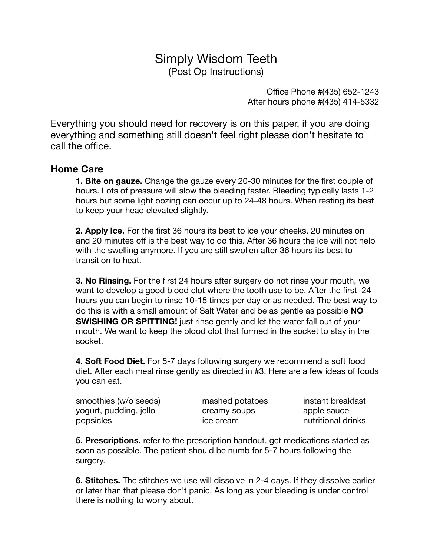# Simply Wisdom Teeth (Post Op Instructions)

Office Phone #(435) 652-1243 After hours phone #(435) 414-5332

Everything you should need for recovery is on this paper, if you are doing everything and something still doesn't feel right please don't hesitate to call the office.

## **Home Care**

**1. Bite on gauze.** Change the gauze every 20-30 minutes for the first couple of hours. Lots of pressure will slow the bleeding faster. Bleeding typically lasts 1-2 hours but some light oozing can occur up to 24-48 hours. When resting its best to keep your head elevated slightly.

**2. Apply Ice.** For the first 36 hours its best to ice your cheeks. 20 minutes on and 20 minutes off is the best way to do this. After 36 hours the ice will not help with the swelling anymore. If you are still swollen after 36 hours its best to transition to heat.

**3. No Rinsing.** For the first 24 hours after surgery do not rinse your mouth, we want to develop a good blood clot where the tooth use to be. After the first 24 hours you can begin to rinse 10-15 times per day or as needed. The best way to do this is with a small amount of Salt Water and be as gentle as possible **NO SWISHING OR SPITTING!** just rinse gently and let the water fall out of your mouth. We want to keep the blood clot that formed in the socket to stay in the socket.

**4. Soft Food Diet.** For 5-7 days following surgery we recommend a soft food diet. After each meal rinse gently as directed in #3. Here are a few ideas of foods you can eat.

smoothies (w/o seeds) https://www.mashed.potatoes https://www.mashed.potatoes instant breakfast yogurt, pudding, jello b creamy soups apple sauce popsicles **busines business** ice cream *nutritional drinks* 

**5. Prescriptions.** refer to the prescription handout, get medications started as soon as possible. The patient should be numb for 5-7 hours following the surgery.

**6. Stitches.** The stitches we use will dissolve in 2-4 days. If they dissolve earlier or later than that please don't panic. As long as your bleeding is under control there is nothing to worry about.